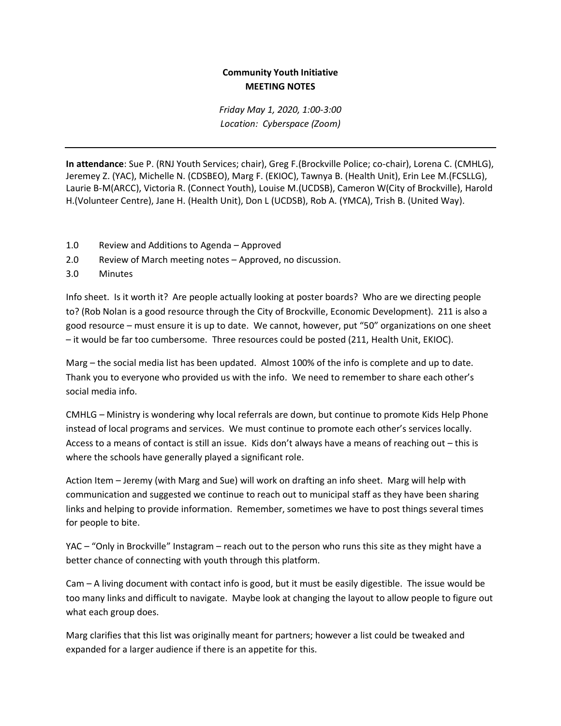## **Community Youth Initiative MEETING NOTES**

*Friday May 1, 2020, 1:00-3:00 Location: Cyberspace (Zoom)*

**In attendance**: Sue P. (RNJ Youth Services; chair), Greg F.(Brockville Police; co-chair), Lorena C. (CMHLG), Jeremey Z. (YAC), Michelle N. (CDSBEO), Marg F. (EKIOC), Tawnya B. (Health Unit), Erin Lee M.(FCSLLG), Laurie B-M(ARCC), Victoria R. (Connect Youth), Louise M.(UCDSB), Cameron W(City of Brockville), Harold H.(Volunteer Centre), Jane H. (Health Unit), Don L (UCDSB), Rob A. (YMCA), Trish B. (United Way).

- 1.0 Review and Additions to Agenda Approved
- 2.0 Review of March meeting notes Approved, no discussion.
- 3.0 Minutes

Info sheet. Is it worth it? Are people actually looking at poster boards? Who are we directing people to? (Rob Nolan is a good resource through the City of Brockville, Economic Development). 211 is also a good resource – must ensure it is up to date. We cannot, however, put "50" organizations on one sheet – it would be far too cumbersome. Three resources could be posted (211, Health Unit, EKIOC).

Marg – the social media list has been updated. Almost 100% of the info is complete and up to date. Thank you to everyone who provided us with the info. We need to remember to share each other's social media info.

CMHLG – Ministry is wondering why local referrals are down, but continue to promote Kids Help Phone instead of local programs and services. We must continue to promote each other's services locally. Access to a means of contact is still an issue. Kids don't always have a means of reaching out – this is where the schools have generally played a significant role.

Action Item – Jeremy (with Marg and Sue) will work on drafting an info sheet. Marg will help with communication and suggested we continue to reach out to municipal staff as they have been sharing links and helping to provide information. Remember, sometimes we have to post things several times for people to bite.

YAC – "Only in Brockville" Instagram – reach out to the person who runs this site as they might have a better chance of connecting with youth through this platform.

Cam – A living document with contact info is good, but it must be easily digestible. The issue would be too many links and difficult to navigate. Maybe look at changing the layout to allow people to figure out what each group does.

Marg clarifies that this list was originally meant for partners; however a list could be tweaked and expanded for a larger audience if there is an appetite for this.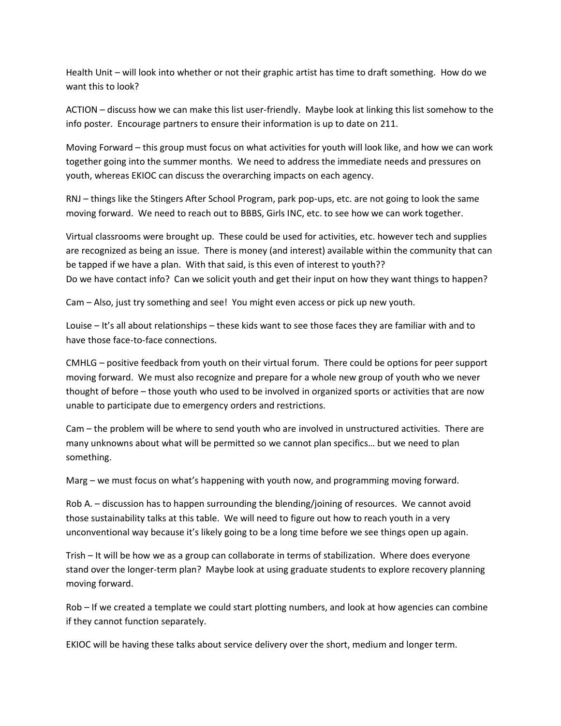Health Unit – will look into whether or not their graphic artist has time to draft something. How do we want this to look?

ACTION – discuss how we can make this list user-friendly. Maybe look at linking this list somehow to the info poster. Encourage partners to ensure their information is up to date on 211.

Moving Forward – this group must focus on what activities for youth will look like, and how we can work together going into the summer months. We need to address the immediate needs and pressures on youth, whereas EKIOC can discuss the overarching impacts on each agency.

RNJ – things like the Stingers After School Program, park pop-ups, etc. are not going to look the same moving forward. We need to reach out to BBBS, Girls INC, etc. to see how we can work together.

Virtual classrooms were brought up. These could be used for activities, etc. however tech and supplies are recognized as being an issue. There is money (and interest) available within the community that can be tapped if we have a plan. With that said, is this even of interest to youth?? Do we have contact info? Can we solicit youth and get their input on how they want things to happen?

Cam – Also, just try something and see! You might even access or pick up new youth.

Louise – It's all about relationships – these kids want to see those faces they are familiar with and to have those face-to-face connections.

CMHLG – positive feedback from youth on their virtual forum. There could be options for peer support moving forward. We must also recognize and prepare for a whole new group of youth who we never thought of before – those youth who used to be involved in organized sports or activities that are now unable to participate due to emergency orders and restrictions.

Cam – the problem will be where to send youth who are involved in unstructured activities. There are many unknowns about what will be permitted so we cannot plan specifics… but we need to plan something.

Marg – we must focus on what's happening with youth now, and programming moving forward.

Rob A. – discussion has to happen surrounding the blending/joining of resources. We cannot avoid those sustainability talks at this table. We will need to figure out how to reach youth in a very unconventional way because it's likely going to be a long time before we see things open up again.

Trish – It will be how we as a group can collaborate in terms of stabilization. Where does everyone stand over the longer-term plan? Maybe look at using graduate students to explore recovery planning moving forward.

Rob – If we created a template we could start plotting numbers, and look at how agencies can combine if they cannot function separately.

EKIOC will be having these talks about service delivery over the short, medium and longer term.